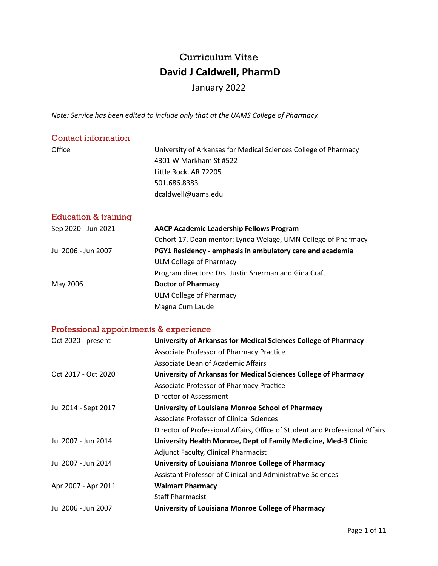# Curriculum Vitae  **David J Caldwell, PharmD**

## January 2022

*Note: Service has been edited to include only that at the UAMS College of Pharmacy.* 

| Contact information  |                                                                                           |
|----------------------|-------------------------------------------------------------------------------------------|
| Office               | University of Arkansas for Medical Sciences College of Pharmacy<br>4301 W Markham St #522 |
|                      | Little Rock, AR 72205                                                                     |
|                      | 501.686.8383                                                                              |
|                      | dcaldwell@uams.edu                                                                        |
| Education & training |                                                                                           |
|                      |                                                                                           |
| Sep 2020 - Jun 2021  | <b>AACP Academic Leadership Fellows Program</b>                                           |
|                      | Cohort 17, Dean mentor: Lynda Welage, UMN College of Pharmacy                             |
| Jul 2006 - Jun 2007  | PGY1 Residency - emphasis in ambulatory care and academia                                 |
|                      | ULM College of Pharmacy                                                                   |
|                      | Program directors: Drs. Justin Sherman and Gina Craft                                     |
| May 2006             | <b>Doctor of Pharmacy</b>                                                                 |
|                      | ULM College of Pharmacy                                                                   |
|                      | Magna Cum Laude                                                                           |

## Professional appointments & experience

| Oct 2020 - present   | University of Arkansas for Medical Sciences College of Pharmacy              |
|----------------------|------------------------------------------------------------------------------|
|                      | Associate Professor of Pharmacy Practice                                     |
|                      | Associate Dean of Academic Affairs                                           |
| Oct 2017 - Oct 2020  | University of Arkansas for Medical Sciences College of Pharmacy              |
|                      | Associate Professor of Pharmacy Practice                                     |
|                      | Director of Assessment                                                       |
| Jul 2014 - Sept 2017 | University of Louisiana Monroe School of Pharmacy                            |
|                      | Associate Professor of Clinical Sciences                                     |
|                      | Director of Professional Affairs, Office of Student and Professional Affairs |
| Jul 2007 - Jun 2014  | University Health Monroe, Dept of Family Medicine, Med-3 Clinic              |
|                      | <b>Adjunct Faculty, Clinical Pharmacist</b>                                  |
| Jul 2007 - Jun 2014  | University of Louisiana Monroe College of Pharmacy                           |
|                      | Assistant Professor of Clinical and Administrative Sciences                  |
| Apr 2007 - Apr 2011  | <b>Walmart Pharmacy</b>                                                      |
|                      | <b>Staff Pharmacist</b>                                                      |
| Jul 2006 - Jun 2007  | University of Louisiana Monroe College of Pharmacy                           |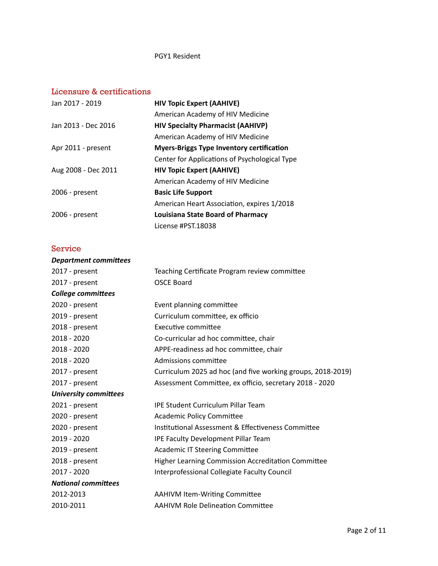#### PGY1 Resident

## Licensure & certifications

| Jan 2017 - 2019     | <b>HIV Topic Expert (AAHIVE)</b>                 |
|---------------------|--------------------------------------------------|
|                     | American Academy of HIV Medicine                 |
| Jan 2013 - Dec 2016 | <b>HIV Specialty Pharmacist (AAHIVP)</b>         |
|                     | American Academy of HIV Medicine                 |
| Apr 2011 - present  | <b>Myers-Briggs Type Inventory certification</b> |
|                     | Center for Applications of Psychological Type    |
| Aug 2008 - Dec 2011 | <b>HIV Topic Expert (AAHIVE)</b>                 |
|                     | American Academy of HIV Medicine                 |
| $2006$ - present    | <b>Basic Life Support</b>                        |
|                     | American Heart Association, expires 1/2018       |
| 2006 - present      | <b>Louisiana State Board of Pharmacy</b>         |
|                     | License #PST.18038                               |

### Service

| Teaching Certificate Program review committee               |
|-------------------------------------------------------------|
| <b>OSCE Board</b>                                           |
|                                                             |
| Event planning committee                                    |
| Curriculum committee, ex officio                            |
| Executive committee                                         |
| Co-curricular ad hoc committee, chair                       |
| APPE-readiness ad hoc committee, chair                      |
| Admissions committee                                        |
| Curriculum 2025 ad hoc (and five working groups, 2018-2019) |
| Assessment Committee, ex officio, secretary 2018 - 2020     |
|                                                             |
| <b>IPE Student Curriculum Pillar Team</b>                   |
| <b>Academic Policy Committee</b>                            |
| Institutional Assessment & Effectiveness Committee          |
| IPE Faculty Development Pillar Team                         |
| <b>Academic IT Steering Committee</b>                       |
| <b>Higher Learning Commission Accreditation Committee</b>   |
| Interprofessional Collegiate Faculty Council                |
|                                                             |
| <b>AAHIVM Item-Writing Committee</b>                        |
| <b>AAHIVM Role Delineation Committee</b>                    |
|                                                             |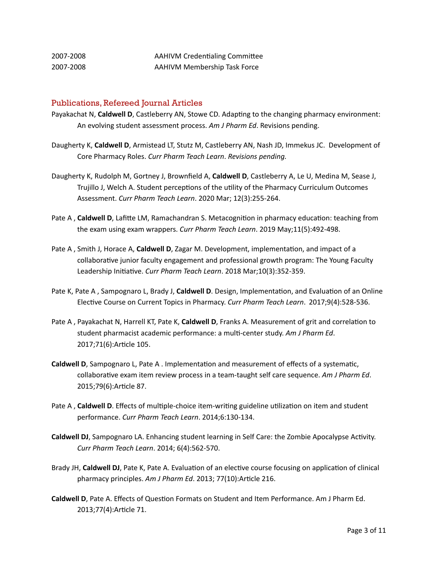| 2007-2008 | <b>AAHIVM Credentialing Committee</b> |
|-----------|---------------------------------------|
| 2007-2008 | <b>AAHIVM Membership Task Force</b>   |

#### Publications, Refereed Journal Articles

- Payakachat N, Caldwell D, Castleberry AN, Stowe CD. Adapting to the changing pharmacy environment: An evolving student assessment process. Am J Pharm Ed. Revisions pending.
- Daugherty K, Caldwell D, Armistead LT, Stutz M, Castleberry AN, Nash JD, Immekus JC. Development of Core Pharmacy Roles. Curr Pharm Teach Learn. Revisions pending.
- Daugherty K, Rudolph M, Gortney J, Brownfield A, Caldwell D, Castleberry A, Le U, Medina M, Sease J, Trujillo J, Welch A. Student perceptions of the utility of the Pharmacy Curriculum Outcomes Assessment. *Curr Pharm Teach Learn*. 2020 Mar; 12(3):255-264.
- Pate A, **Caldwell D**, Lafitte LM, Ramachandran S. Metacognition in pharmacy education: teaching from the exam using exam wrappers. *Curr Pharm Teach Learn*. 2019 May;11(5):492-498.
- Pate A, Smith J, Horace A, **Caldwell D**, Zagar M. Development, implementation, and impact of a collaborative junior faculty engagement and professional growth program: The Young Faculty Leadership Initiative. Curr Pharm Teach Learn. 2018 Mar;10(3):352-359.
- Pate K, Pate A, Sampognaro L, Brady J, **Caldwell D**. Design, Implementation, and Evaluation of an Online Elective Course on Current Topics in Pharmacy. Curr Pharm Teach Learn. 2017;9(4):528-536.
- Pate A, Payakachat N, Harrell KT, Pate K, Caldwell D, Franks A. Measurement of grit and correlation to student pharmacist academic performance: a multi-center study. Am J Pharm Ed. 2017;71(6): Article 105.
- **Caldwell D**, Sampognaro L, Pate A . Implementation and measurement of effects of a systematic, collaborative exam item review process in a team-taught self care sequence. Am J Pharm Ed. 2015;79(6):Article 87.
- Pate A, **Caldwell D**. Effects of multiple-choice item-writing guideline utilization on item and student performance. *Curr Pharm Teach Learn*. 2014;6:130-134.
- **Caldwell DJ**, Sampognaro LA. Enhancing student learning in Self Care: the Zombie Apocalypse Activity. *Curr Pharm Teach Learn*. 2014; 6(4):562-570.
- Brady JH, Caldwell DJ, Pate K, Pate A. Evaluation of an elective course focusing on application of clinical pharmacy principles. Am J Pharm Ed. 2013; 77(10):Article 216.
- **Caldwell D**, Pate A. Effects of Question Formats on Student and Item Performance. Am J Pharm Ed. 2013;77(4):Article 71.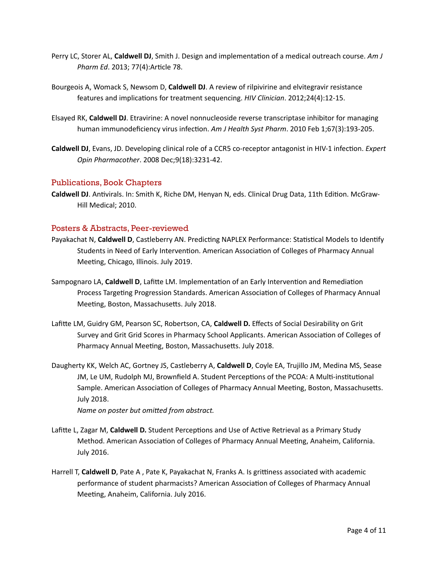- Perry LC, Storer AL, Caldwell DJ, Smith J. Design and implementation of a medical outreach course. Am J *Pharm Ed.* 2013; 77(4):Article 78.
- Bourgeois A, Womack S, Newsom D, **Caldwell DJ**. A review of rilpivirine and elvitegravir resistance features and implications for treatment sequencing. *HIV Clinician*. 2012;24(4):12-15.
- Elsayed RK, Caldwell DJ. Etravirine: A novel nonnucleoside reverse transcriptase inhibitor for managing human immunodeficiency virus infection. Am J Health Syst Pharm. 2010 Feb 1;67(3):193-205.
- **Caldwell DJ**, Evans, JD. Developing clinical role of a CCR5 co-receptor antagonist in HIV-1 infection. *Expert Opin Pharmacother*. 2008 Dec;9(18):3231-42.

#### Publications, Book Chapters

**Caldwell DJ.** Antivirals. In: Smith K, Riche DM, Henyan N, eds. Clinical Drug Data, 11th Edition. McGraw-Hill Medical: 2010.

#### Posters & Abstracts, Peer-reviewed

- Payakachat N, Caldwell D, Castleberry AN. Predicting NAPLEX Performance: Statistical Models to Identify Students in Need of Early Intervention. American Association of Colleges of Pharmacy Annual Meeting, Chicago, Illinois. July 2019.
- Sampognaro LA, Caldwell D, Lafitte LM. Implementation of an Early Intervention and Remediation Process Targeting Progression Standards. American Association of Colleges of Pharmacy Annual Meeting, Boston, Massachusetts. July 2018.
- Lafitte LM, Guidry GM, Pearson SC, Robertson, CA, Caldwell D. Effects of Social Desirability on Grit Survey and Grit Grid Scores in Pharmacy School Applicants. American Association of Colleges of Pharmacy Annual Meeting, Boston, Massachusetts. July 2018.
- Daugherty KK, Welch AC, Gortney JS, Castleberry A, Caldwell D, Coyle EA, Trujillo JM, Medina MS, Sease JM, Le UM, Rudolph MJ, Brownfield A. Student Perceptions of the PCOA: A Multi-institutional Sample. American Association of Colleges of Pharmacy Annual Meeting, Boston, Massachusetts. July 2018. *Name on poster but omitted from abstract.*
- Lafitte L, Zagar M, **Caldwell D.** Student Perceptions and Use of Active Retrieval as a Primary Study Method. American Association of Colleges of Pharmacy Annual Meeting, Anaheim, California.
	- July 2016.
- Harrell T, Caldwell D, Pate A, Pate K, Payakachat N, Franks A. Is grittiness associated with academic performance of student pharmacists? American Association of Colleges of Pharmacy Annual Meeting, Anaheim, California. July 2016.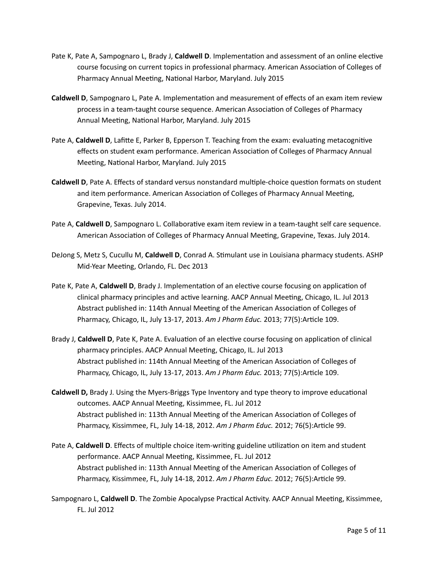- Pate K, Pate A, Sampognaro L, Brady J, **Caldwell D**. Implementation and assessment of an online elective course focusing on current topics in professional pharmacy. American Association of Colleges of Pharmacy Annual Meeting, National Harbor, Maryland. July 2015
- **Caldwell D**, Sampognaro L, Pate A. Implementation and measurement of effects of an exam item review process in a team-taught course sequence. American Association of Colleges of Pharmacy Annual Meeting, National Harbor, Maryland. July 2015
- Pate A, **Caldwell D**, Lafitte E, Parker B, Epperson T. Teaching from the exam: evaluating metacognitive effects on student exam performance. American Association of Colleges of Pharmacy Annual Meeting, National Harbor, Maryland. July 2015
- **Caldwell D**, Pate A. Effects of standard versus nonstandard multiple-choice question formats on student and item performance. American Association of Colleges of Pharmacy Annual Meeting, Grapevine, Texas. July 2014.
- Pate A, **Caldwell D**, Sampognaro L. Collaborative exam item review in a team-taught self care sequence. American Association of Colleges of Pharmacy Annual Meeting, Grapevine, Texas. July 2014.
- DeJong S, Metz S, Cucullu M, Caldwell D, Conrad A. Stimulant use in Louisiana pharmacy students. ASHP Mid-Year Meeting, Orlando, FL. Dec 2013
- Pate K, Pate A, Caldwell D, Brady J. Implementation of an elective course focusing on application of clinical pharmacy principles and active learning. AACP Annual Meeting, Chicago, IL. Jul 2013 Abstract published in: 114th Annual Meeting of the American Association of Colleges of Pharmacy, Chicago, IL, July 13-17, 2013. Am J Pharm Educ. 2013; 77(5):Article 109.
- Brady J, **Caldwell D**, Pate K, Pate A. Evaluation of an elective course focusing on application of clinical pharmacy principles. AACP Annual Meeting, Chicago, IL. Jul 2013 Abstract published in: 114th Annual Meeting of the American Association of Colleges of Pharmacy, Chicago, IL, July 13-17, 2013. Am J Pharm Educ. 2013; 77(5):Article 109.
- **Caldwell D,** Brady J. Using the Myers-Briggs Type Inventory and type theory to improve educational outcomes. AACP Annual Meeting, Kissimmee, FL. Jul 2012 Abstract published in: 113th Annual Meeting of the American Association of Colleges of Pharmacy, Kissimmee, FL, July 14-18, 2012. Am J Pharm Educ. 2012; 76(5):Article 99.
- Pate A, **Caldwell D**. Effects of multiple choice item-writing guideline utilization on item and student performance. AACP Annual Meeting, Kissimmee, FL. Jul 2012 Abstract published in: 113th Annual Meeting of the American Association of Colleges of Pharmacy, Kissimmee, FL, July 14-18, 2012. Am J Pharm Educ. 2012; 76(5):Article 99.
- Sampognaro L, Caldwell D. The Zombie Apocalypse Practical Activity. AACP Annual Meeting, Kissimmee, FL. Jul 2012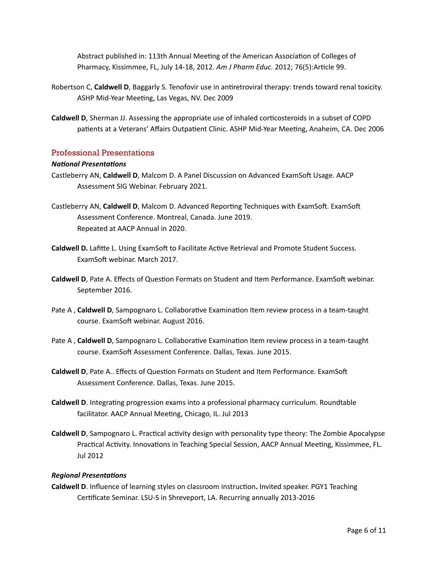Abstract published in: 113th Annual Meeting of the American Association of Colleges of Pharmacy, Kissimmee, FL, July 14-18, 2012. Am J Pharm Educ. 2012; 76(5):Article 99.

- Robertson C, **Caldwell D**, Baggarly S. Tenofovir use in antiretroviral therapy: trends toward renal toxicity. ASHP Mid-Year Meeting, Las Vegas, NV. Dec 2009
- **Caldwell D**, Sherman JJ. Assessing the appropriate use of inhaled corticosteroids in a subset of COPD patients at a Veterans' Affairs Outpatient Clinic. ASHP Mid-Year Meeting, Anaheim, CA. Dec 2006

#### Professional Presentations

#### *National Presentations*

- Castleberry AN, **Caldwell D**, Malcom D. A Panel Discussion on Advanced ExamSoft Usage. AACP Assessment SIG Webinar. February 2021.
- Castleberry AN, Caldwell D, Malcom D. Advanced Reporting Techniques with ExamSoft. ExamSoft Assessment Conference. Montreal, Canada. June 2019. Repeated at AACP Annual in 2020.
- **Caldwell D.** Lafitte L. Using ExamSoft to Facilitate Active Retrieval and Promote Student Success. ExamSoft webinar. March 2017.
- **Caldwell D**, Pate A. Effects of Question Formats on Student and Item Performance. ExamSoft webinar. September 2016.
- Pate A, Caldwell D, Sampognaro L. Collaborative Examination Item review process in a team-taught course. ExamSoft webinar. August 2016.
- Pate A, Caldwell D, Sampognaro L. Collaborative Examination Item review process in a team-taught course. ExamSoft Assessment Conference. Dallas, Texas. June 2015.
- **Caldwell D**, Pate A.. Effects of Question Formats on Student and Item Performance. ExamSoft Assessment Conference. Dallas, Texas. June 2015.
- **Caldwell D**. Integrating progression exams into a professional pharmacy curriculum. Roundtable facilitator. AACP Annual Meeting, Chicago, IL. Jul 2013
- **Caldwell D**, Sampognaro L. Practical activity design with personality type theory: The Zombie Apocalypse Practical Activity. Innovations in Teaching Special Session, AACP Annual Meeting, Kissimmee, FL. Jul 2012

#### *Regional Presentations*

Caldwell D. Influence of learning styles on classroom instruction. Invited speaker. PGY1 Teaching Certificate Seminar. LSU-S in Shreveport, LA. Recurring annually 2013-2016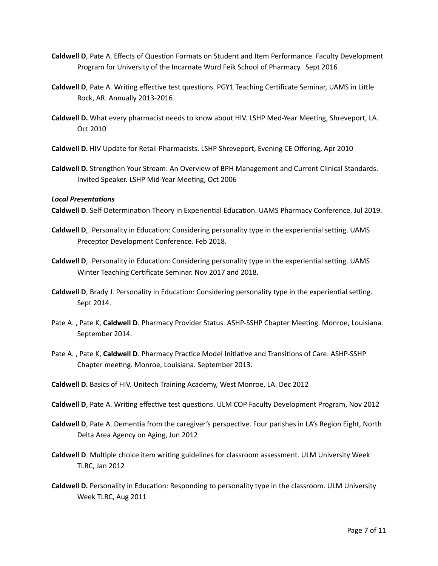- **Caldwell D**, Pate A. Effects of Question Formats on Student and Item Performance. Faculty Development Program for University of the Incarnate Word Feik School of Pharmacy. Sept 2016
- **Caldwell D**, Pate A. Writing effective test questions. PGY1 Teaching Certificate Seminar, UAMS in Little Rock, AR. Annually 2013-2016
- Caldwell D. What every pharmacist needs to know about HIV. LSHP Med-Year Meeting, Shreveport, LA. Oct 2010
- **Caldwell D.** HIV Update for Retail Pharmacists. LSHP Shreveport, Evening CE Offering, Apr 2010
- Caldwell D. Strengthen Your Stream: An Overview of BPH Management and Current Clinical Standards. Invited Speaker. LSHP Mid-Year Meeting, Oct 2006

#### *Local Presentations*

Caldwell D. Self-Determination Theory in Experiential Education. UAMS Pharmacy Conference. Jul 2019.

- **Caldwell D**,. Personality in Education: Considering personality type in the experiential setting. UAMS Preceptor Development Conference. Feb 2018.
- **Caldwell D**,. Personality in Education: Considering personality type in the experiential setting. UAMS Winter Teaching Certificate Seminar. Nov 2017 and 2018.
- **Caldwell D**, Brady J. Personality in Education: Considering personality type in the experiential setting. Sept 2014.
- Pate A., Pate K, Caldwell D. Pharmacy Provider Status. ASHP-SSHP Chapter Meeting. Monroe, Louisiana. September 2014.
- Pate A., Pate K, Caldwell D. Pharmacy Practice Model Initiative and Transitions of Care. ASHP-SSHP Chapter meeting. Monroe, Louisiana. September 2013.
- **Caldwell D.** Basics of HIV. Unitech Training Academy, West Monroe, LA. Dec 2012
- **Caldwell D**, Pate A. Writing effective test questions. ULM COP Faculty Development Program, Nov 2012
- **Caldwell D**, Pate A. Dementia from the caregiver's perspective. Four parishes in LA's Region Eight, North Delta Area Agency on Aging, Jun 2012
- **Caldwell D.** Multiple choice item writing guidelines for classroom assessment. ULM University Week TLRC, Jan 2012
- **Caldwell D.** Personality in Education: Responding to personality type in the classroom. ULM University Week TLRC, Aug 2011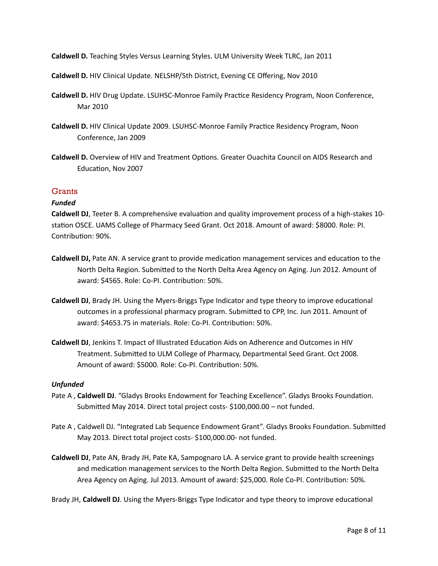**Caldwell D.** Teaching Styles Versus Learning Styles. ULM University Week TLRC, Jan 2011

**Caldwell D.** HIV Clinical Update. NELSHP/5th District, Evening CE Offering, Nov 2010

- **Caldwell D.** HIV Drug Update. LSUHSC-Monroe Family Practice Residency Program, Noon Conference, Mar 2010
- **Caldwell D.** HIV Clinical Update 2009. LSUHSC-Monroe Family Practice Residency Program, Noon Conference, Jan 2009
- Caldwell D. Overview of HIV and Treatment Options. Greater Ouachita Council on AIDS Research and Education, Nov 2007

## **Grants**

#### *Funded*

**Caldwell DJ**, Teeter B. A comprehensive evaluation and quality improvement process of a high-stakes 10station OSCE. UAMS College of Pharmacy Seed Grant. Oct 2018. Amount of award: \$8000. Role: PI. Contribution: 90%.

- **Caldwell DJ,** Pate AN. A service grant to provide medication management services and education to the North Delta Region. Submitted to the North Delta Area Agency on Aging. Jun 2012. Amount of award: \$4565. Role: Co-PI. Contribution: 50%.
- **Caldwell DJ**, Brady JH. Using the Myers-Briggs Type Indicator and type theory to improve educational outcomes in a professional pharmacy program. Submitted to CPP, Inc. Jun 2011. Amount of award: \$4653.75 in materials. Role: Co-PI. Contribution: 50%.
- **Caldwell DJ**, Jenkins T. Impact of Illustrated Education Aids on Adherence and Outcomes in HIV Treatment. Submitted to ULM College of Pharmacy, Departmental Seed Grant. Oct 2008. Amount of award: \$5000. Role: Co-PI. Contribution: 50%.

#### *Unfunded*

- Pate A, Caldwell DJ. "Gladys Brooks Endowment for Teaching Excellence". Gladys Brooks Foundation. Submitted May 2014. Direct total project costs- $$100,000.00 - not funded.$
- Pate A, Caldwell DJ. "Integrated Lab Sequence Endowment Grant". Gladys Brooks Foundation. Submitted May 2013. Direct total project costs- \$100,000.00- not funded.
- Caldwell DJ, Pate AN, Brady JH, Pate KA, Sampognaro LA. A service grant to provide health screenings and medication management services to the North Delta Region. Submitted to the North Delta Area Agency on Aging. Jul 2013. Amount of award: \$25,000. Role Co-PI. Contribution: 50%.

Brady JH, **Caldwell DJ**. Using the Myers-Briggs Type Indicator and type theory to improve educational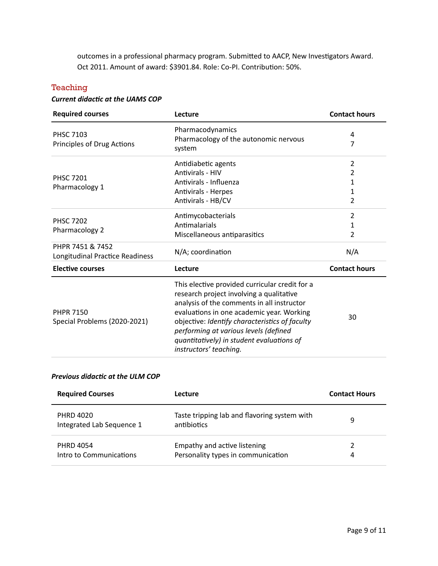outcomes in a professional pharmacy program. Submitted to AACP, New Investigators Award. Oct 2011. Amount of award: \$3901.84. Role: Co-PI. Contribution: 50%.

## **Teaching**

## **Current didactic at the UAMS COP**

| <b>Required courses</b>                             | Lecture                                                                                                                                                                                                                                                                                                                                                 | <b>Contact hours</b>               |
|-----------------------------------------------------|---------------------------------------------------------------------------------------------------------------------------------------------------------------------------------------------------------------------------------------------------------------------------------------------------------------------------------------------------------|------------------------------------|
| <b>PHSC 7103</b><br>Principles of Drug Actions      | Pharmacodynamics<br>Pharmacology of the autonomic nervous<br>system                                                                                                                                                                                                                                                                                     | 4<br>7                             |
| <b>PHSC 7201</b><br>Pharmacology 1                  | Antidiabetic agents<br><b>Antivirals - HIV</b><br>Antivirals - Influenza<br><b>Antivirals - Herpes</b><br>Antivirals - HB/CV                                                                                                                                                                                                                            | $\overline{2}$<br>2<br>1<br>1<br>2 |
| <b>PHSC 7202</b><br>Pharmacology 2                  | Antimycobacterials<br>Antimalarials<br>Miscellaneous antiparasitics                                                                                                                                                                                                                                                                                     | 2<br>1<br>2                        |
| PHPR 7451 & 7452<br>Longitudinal Practice Readiness | N/A; coordination                                                                                                                                                                                                                                                                                                                                       | N/A                                |
| <b>Elective courses</b>                             | Lecture                                                                                                                                                                                                                                                                                                                                                 | <b>Contact hours</b>               |
| <b>PHPR 7150</b><br>Special Problems (2020-2021)    | This elective provided curricular credit for a<br>research project involving a qualitative<br>analysis of the comments in all instructor<br>evaluations in one academic year. Working<br>objective: Identify characteristics of faculty<br>performing at various levels (defined<br>quantitatively) in student evaluations of<br>instructors' teaching. | 30                                 |

#### **Previous didactic at the ULM COP**

| <b>Required Courses</b>                       | Lecture                                                            | <b>Contact Hours</b> |
|-----------------------------------------------|--------------------------------------------------------------------|----------------------|
| <b>PHRD 4020</b><br>Integrated Lab Sequence 1 | Taste tripping lab and flavoring system with<br>antibiotics        | 9                    |
| <b>PHRD 4054</b><br>Intro to Communications   | Empathy and active listening<br>Personality types in communication | 4                    |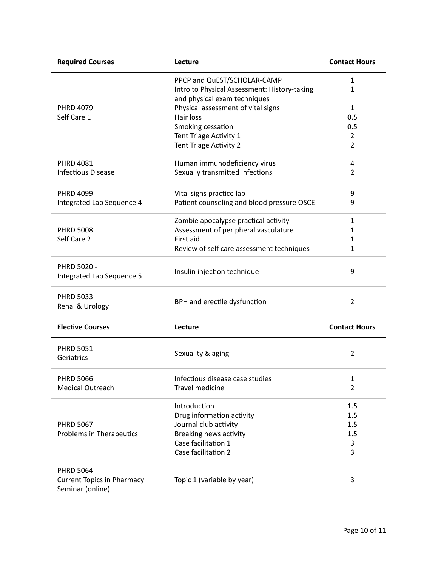| <b>Required Courses</b>                               | Lecture                                                                      | <b>Contact Hours</b> |
|-------------------------------------------------------|------------------------------------------------------------------------------|----------------------|
|                                                       | PPCP and QuEST/SCHOLAR-CAMP                                                  | $\mathbf{1}$         |
|                                                       | Intro to Physical Assessment: History-taking<br>and physical exam techniques | $\mathbf{1}$         |
| <b>PHRD 4079</b>                                      | Physical assessment of vital signs                                           | $\mathbf{1}$         |
| Self Care 1                                           | Hair loss                                                                    | 0.5                  |
|                                                       | Smoking cessation                                                            | 0.5                  |
|                                                       | Tent Triage Activity 1                                                       | $\overline{2}$       |
|                                                       | Tent Triage Activity 2                                                       | $\overline{2}$       |
| <b>PHRD 4081</b>                                      | Human immunodeficiency virus                                                 | 4                    |
| <b>Infectious Disease</b>                             | Sexually transmitted infections                                              | $\overline{2}$       |
| <b>PHRD 4099</b>                                      | Vital signs practice lab                                                     | 9                    |
| Integrated Lab Sequence 4                             | Patient counseling and blood pressure OSCE                                   | 9                    |
|                                                       | Zombie apocalypse practical activity                                         | 1                    |
| <b>PHRD 5008</b>                                      | Assessment of peripheral vasculature                                         | 1                    |
| Self Care 2                                           | First aid                                                                    | 1                    |
|                                                       | Review of self care assessment techniques                                    | $\mathbf{1}$         |
| PHRD 5020 -<br>Integrated Lab Sequence 5              | Insulin injection technique                                                  | 9                    |
| <b>PHRD 5033</b><br>Renal & Urology                   | BPH and erectile dysfunction                                                 | 2                    |
| <b>Elective Courses</b>                               | Lecture                                                                      | <b>Contact Hours</b> |
| <b>PHRD 5051</b><br>Geriatrics                        | Sexuality & aging                                                            | 2                    |
| <b>PHRD 5066</b>                                      | Infectious disease case studies                                              | 1                    |
| <b>Medical Outreach</b>                               | Travel medicine                                                              | $\overline{2}$       |
|                                                       | Introduction                                                                 | 1.5                  |
|                                                       | Drug information activity                                                    | 1.5                  |
| <b>PHRD 5067</b>                                      | Journal club activity                                                        | 1.5                  |
| Problems in Therapeutics                              | Breaking news activity                                                       | 1.5                  |
|                                                       | Case facilitation 1                                                          | 3                    |
|                                                       | Case facilitation 2                                                          | 3                    |
| <b>PHRD 5064</b>                                      |                                                                              |                      |
| <b>Current Topics in Pharmacy</b><br>Seminar (online) | Topic 1 (variable by year)                                                   | 3                    |